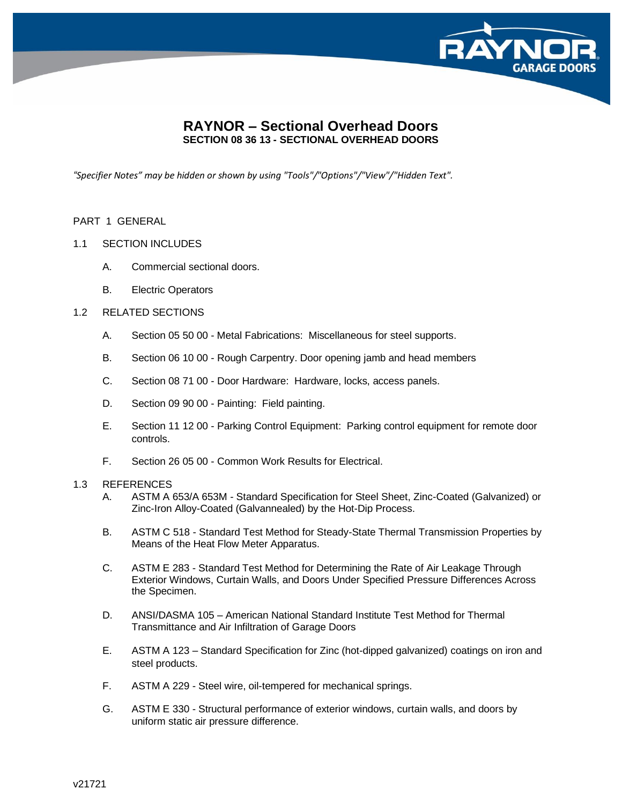

# **RAYNOR – Sectional Overhead Doors SECTION 08 36 13 - SECTIONAL OVERHEAD DOORS**

*"Specifier Notes" may be hidden or shown by using "Tools"/"Options"/"View"/"Hidden Text".*

# PART 1 GENERAL

# 1.1 SECTION INCLUDES

- A. Commercial sectional doors.
- B. Electric Operators

# 1.2 RELATED SECTIONS

- A. Section 05 50 00 Metal Fabrications: Miscellaneous for steel supports.
- B. Section 06 10 00 Rough Carpentry. Door opening jamb and head members
- C. Section 08 71 00 Door Hardware: Hardware, locks, access panels.
- D. Section 09 90 00 Painting: Field painting.
- E. Section 11 12 00 Parking Control Equipment: Parking control equipment for remote door controls.
- F. Section 26 05 00 Common Work Results for Electrical.

### 1.3 REFERENCES

- A. ASTM A 653/A 653M Standard Specification for Steel Sheet, Zinc-Coated (Galvanized) or Zinc-Iron Alloy-Coated (Galvannealed) by the Hot-Dip Process.
- B. ASTM C 518 Standard Test Method for Steady-State Thermal Transmission Properties by Means of the Heat Flow Meter Apparatus.
- C. ASTM E 283 Standard Test Method for Determining the Rate of Air Leakage Through Exterior Windows, Curtain Walls, and Doors Under Specified Pressure Differences Across the Specimen.
- D. ANSI/DASMA 105 American National Standard Institute Test Method for Thermal Transmittance and Air Infiltration of Garage Doors
- E. ASTM A 123 Standard Specification for Zinc (hot-dipped galvanized) coatings on iron and steel products.
- F. ASTM A 229 Steel wire, oil-tempered for mechanical springs.
- G. ASTM E 330 Structural performance of exterior windows, curtain walls, and doors by uniform static air pressure difference.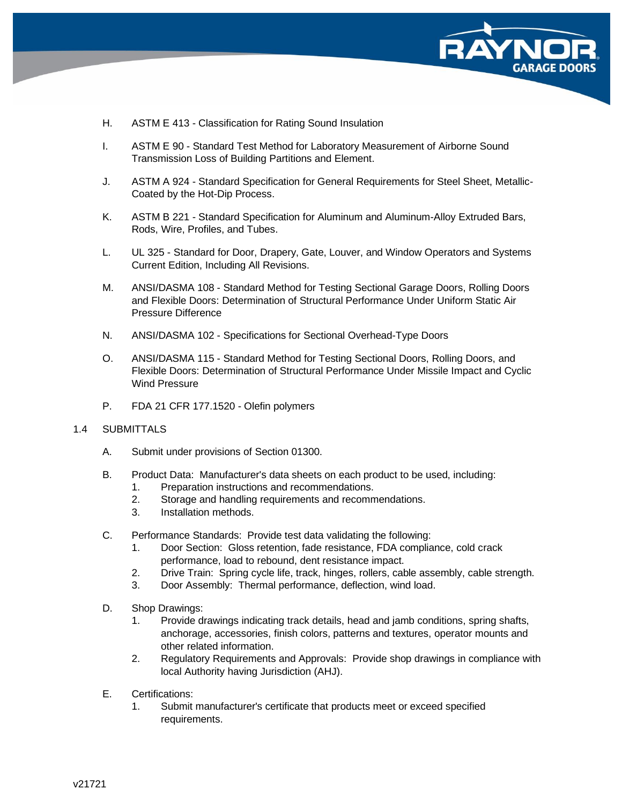

- H. ASTM E 413 Classification for Rating Sound Insulation
- I. ASTM E 90 Standard Test Method for Laboratory Measurement of Airborne Sound Transmission Loss of Building Partitions and Element.
- J. ASTM A 924 Standard Specification for General Requirements for Steel Sheet, Metallic-Coated by the Hot-Dip Process.
- K. ASTM B 221 Standard Specification for Aluminum and Aluminum-Alloy Extruded Bars, Rods, Wire, Profiles, and Tubes.
- L. UL 325 Standard for Door, Drapery, Gate, Louver, and Window Operators and Systems Current Edition, Including All Revisions.
- M. ANSI/DASMA 108 Standard Method for Testing Sectional Garage Doors, Rolling Doors and Flexible Doors: Determination of Structural Performance Under Uniform Static Air Pressure Difference
- N. ANSI/DASMA 102 Specifications for Sectional Overhead-Type Doors
- O. ANSI/DASMA 115 Standard Method for Testing Sectional Doors, Rolling Doors, and Flexible Doors: Determination of Structural Performance Under Missile Impact and Cyclic Wind Pressure
- P. FDA 21 CFR 177.1520 Olefin polymers

#### 1.4 SUBMITTALS

- A. Submit under provisions of Section 01300.
- B. Product Data: Manufacturer's data sheets on each product to be used, including:
	- 1. Preparation instructions and recommendations.
	- 2. Storage and handling requirements and recommendations.
	- 3. Installation methods.
- C. Performance Standards: Provide test data validating the following:
	- 1. Door Section: Gloss retention, fade resistance, FDA compliance, cold crack performance, load to rebound, dent resistance impact.
	- 2. Drive Train: Spring cycle life, track, hinges, rollers, cable assembly, cable strength.
	- 3. Door Assembly: Thermal performance, deflection, wind load.
- D. Shop Drawings:
	- 1. Provide drawings indicating track details, head and jamb conditions, spring shafts, anchorage, accessories, finish colors, patterns and textures, operator mounts and other related information.
	- 2. Regulatory Requirements and Approvals: Provide shop drawings in compliance with local Authority having Jurisdiction (AHJ).
- E. Certifications:
	- 1. Submit manufacturer's certificate that products meet or exceed specified requirements.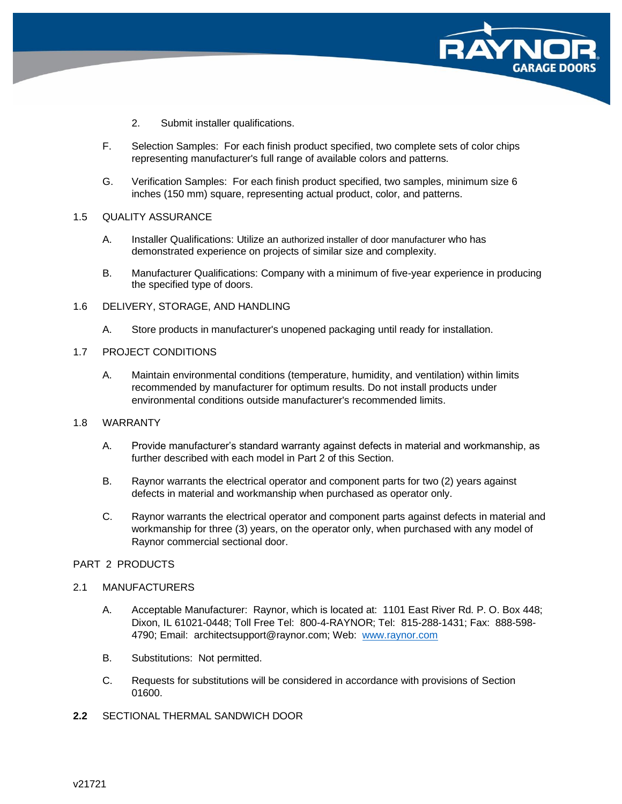

- 2. Submit installer qualifications.
- F. Selection Samples: For each finish product specified, two complete sets of color chips representing manufacturer's full range of available colors and patterns.
- G. Verification Samples: For each finish product specified, two samples, minimum size 6 inches (150 mm) square, representing actual product, color, and patterns.

#### 1.5 QUALITY ASSURANCE

- A. Installer Qualifications: Utilize an authorized installer of door manufacturer who has demonstrated experience on projects of similar size and complexity.
- B. Manufacturer Qualifications: Company with a minimum of five-year experience in producing the specified type of doors.
- 1.6 DELIVERY, STORAGE, AND HANDLING
	- A. Store products in manufacturer's unopened packaging until ready for installation.

### 1.7 PROJECT CONDITIONS

A. Maintain environmental conditions (temperature, humidity, and ventilation) within limits recommended by manufacturer for optimum results. Do not install products under environmental conditions outside manufacturer's recommended limits.

# 1.8 WARRANTY

- A. Provide manufacturer's standard warranty against defects in material and workmanship, as further described with each model in Part 2 of this Section.
- B. Raynor warrants the electrical operator and component parts for two (2) years against defects in material and workmanship when purchased as operator only.
- C. Raynor warrants the electrical operator and component parts against defects in material and workmanship for three (3) years, on the operator only, when purchased with any model of Raynor commercial sectional door.

### PART 2 PRODUCTS

### 2.1 MANUFACTURERS

- A. Acceptable Manufacturer: Raynor, which is located at: 1101 East River Rd. P. O. Box 448; Dixon, IL 61021-0448; Toll Free Tel: 800-4-RAYNOR; Tel: 815-288-1431; Fax: 888-598- 4790; Email: architectsupport@raynor.com; Web: [www.raynor.com](http://www.raynor.com/)
- B. Substitutions: Not permitted.
- C. Requests for substitutions will be considered in accordance with provisions of Section 01600.
- **2.2** SECTIONAL THERMAL SANDWICH DOOR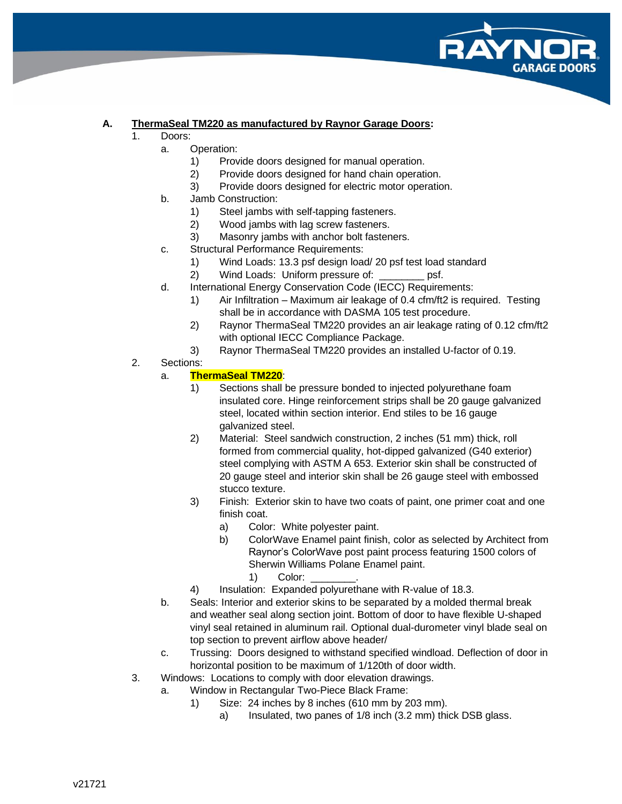![](_page_3_Picture_0.jpeg)

# **A. ThermaSeal TM220 as manufactured by Raynor Garage Doors:**

- 1. Doors:
	- a. Operation:
		- 1) Provide doors designed for manual operation.
		- 2) Provide doors designed for hand chain operation.
		- 3) Provide doors designed for electric motor operation.
	- b. Jamb Construction:
		- 1) Steel jambs with self-tapping fasteners.
		- 2) Wood jambs with lag screw fasteners.
		- 3) Masonry jambs with anchor bolt fasteners.
	- c. Structural Performance Requirements:
		- 1) Wind Loads: 13.3 psf design load/ 20 psf test load standard
		- 2) Wind Loads: Uniform pressure of: \_\_\_\_\_\_\_\_ psf.
	- d. International Energy Conservation Code (IECC) Requirements:
		- 1) Air Infiltration Maximum air leakage of 0.4 cfm/ft2 is required. Testing shall be in accordance with DASMA 105 test procedure.
		- 2) Raynor ThermaSeal TM220 provides an air leakage rating of 0.12 cfm/ft2 with optional IECC Compliance Package.
		- 3) Raynor ThermaSeal TM220 provides an installed U-factor of 0.19.
- 2. Sections:

# a. **ThermaSeal TM220**:

- 1) Sections shall be pressure bonded to injected polyurethane foam insulated core. Hinge reinforcement strips shall be 20 gauge galvanized steel, located within section interior. End stiles to be 16 gauge galvanized steel.
- 2) Material: Steel sandwich construction, 2 inches (51 mm) thick, roll formed from commercial quality, hot-dipped galvanized (G40 exterior) steel complying with ASTM A 653. Exterior skin shall be constructed of 20 gauge steel and interior skin shall be 26 gauge steel with embossed stucco texture.
- 3) Finish: Exterior skin to have two coats of paint, one primer coat and one finish coat.
	- a) Color: White polyester paint.
	- b) ColorWave Enamel paint finish, color as selected by Architect from Raynor's ColorWave post paint process featuring 1500 colors of Sherwin Williams Polane Enamel paint.
		- 1) Color:
- 4) Insulation: Expanded polyurethane with R-value of 18.3.
- b. Seals: Interior and exterior skins to be separated by a molded thermal break and weather seal along section joint. Bottom of door to have flexible U-shaped vinyl seal retained in aluminum rail. Optional dual-durometer vinyl blade seal on top section to prevent airflow above header/
- c. Trussing: Doors designed to withstand specified windload. Deflection of door in horizontal position to be maximum of 1/120th of door width.
- 3. Windows: Locations to comply with door elevation drawings.
	- a. Window in Rectangular Two-Piece Black Frame:
		- 1) Size: 24 inches by 8 inches (610 mm by 203 mm).
			- a) Insulated, two panes of 1/8 inch (3.2 mm) thick DSB glass.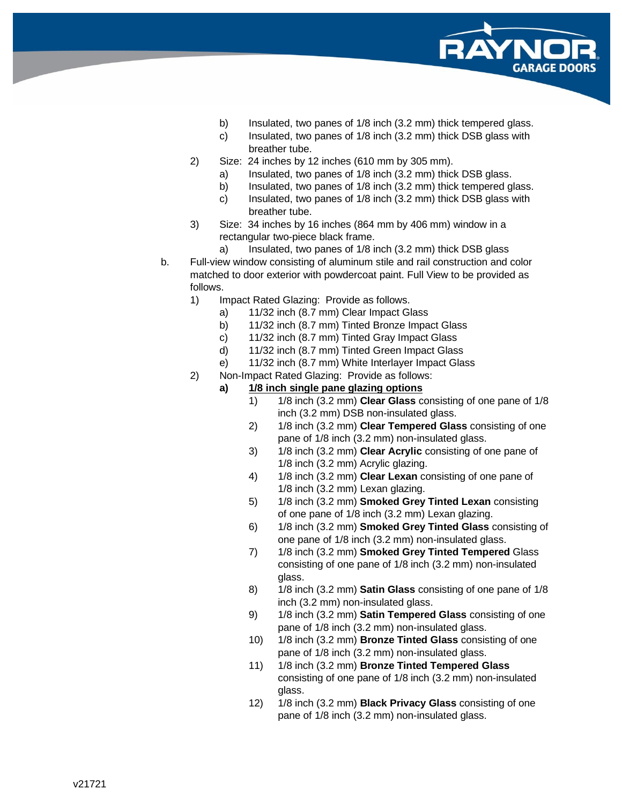![](_page_4_Picture_0.jpeg)

- b) Insulated, two panes of 1/8 inch (3.2 mm) thick tempered glass.
- c) Insulated, two panes of 1/8 inch (3.2 mm) thick DSB glass with breather tube.
- 2) Size: 24 inches by 12 inches (610 mm by 305 mm).
	- a) Insulated, two panes of 1/8 inch (3.2 mm) thick DSB glass.
	- b) Insulated, two panes of 1/8 inch (3.2 mm) thick tempered glass.
	- c) Insulated, two panes of 1/8 inch (3.2 mm) thick DSB glass with breather tube.
- 3) Size: 34 inches by 16 inches (864 mm by 406 mm) window in a rectangular two-piece black frame.
	- a) Insulated, two panes of 1/8 inch (3.2 mm) thick DSB glass
- b. Full-view window consisting of aluminum stile and rail construction and color matched to door exterior with powdercoat paint. Full View to be provided as follows.
	- 1) Impact Rated Glazing: Provide as follows.
		- a) 11/32 inch (8.7 mm) Clear Impact Glass
		- b) 11/32 inch (8.7 mm) Tinted Bronze Impact Glass
		- c) 11/32 inch (8.7 mm) Tinted Gray Impact Glass
		- d) 11/32 inch (8.7 mm) Tinted Green Impact Glass
		- e) 11/32 inch (8.7 mm) White Interlayer Impact Glass
	- 2) Non-Impact Rated Glazing: Provide as follows:
		- **a) 1/8 inch single pane glazing options**
			- 1) 1/8 inch (3.2 mm) **Clear Glass** consisting of one pane of 1/8 inch (3.2 mm) DSB non-insulated glass.
			- 2) 1/8 inch (3.2 mm) **Clear Tempered Glass** consisting of one pane of 1/8 inch (3.2 mm) non-insulated glass.
			- 3) 1/8 inch (3.2 mm) **Clear Acrylic** consisting of one pane of 1/8 inch (3.2 mm) Acrylic glazing.
			- 4) 1/8 inch (3.2 mm) **Clear Lexan** consisting of one pane of 1/8 inch (3.2 mm) Lexan glazing.
			- 5) 1/8 inch (3.2 mm) **Smoked Grey Tinted Lexan** consisting of one pane of 1/8 inch (3.2 mm) Lexan glazing.
			- 6) 1/8 inch (3.2 mm) **Smoked Grey Tinted Glass** consisting of one pane of 1/8 inch (3.2 mm) non-insulated glass.
			- 7) 1/8 inch (3.2 mm) **Smoked Grey Tinted Tempered** Glass consisting of one pane of 1/8 inch (3.2 mm) non-insulated glass.
			- 8) 1/8 inch (3.2 mm) **Satin Glass** consisting of one pane of 1/8 inch (3.2 mm) non-insulated glass.
			- 9) 1/8 inch (3.2 mm) **Satin Tempered Glass** consisting of one pane of 1/8 inch (3.2 mm) non-insulated glass.
			- 10) 1/8 inch (3.2 mm) **Bronze Tinted Glass** consisting of one pane of 1/8 inch (3.2 mm) non-insulated glass.
			- 11) 1/8 inch (3.2 mm) **Bronze Tinted Tempered Glass** consisting of one pane of 1/8 inch (3.2 mm) non-insulated glass.
			- 12) 1/8 inch (3.2 mm) **Black Privacy Glass** consisting of one pane of 1/8 inch (3.2 mm) non-insulated glass.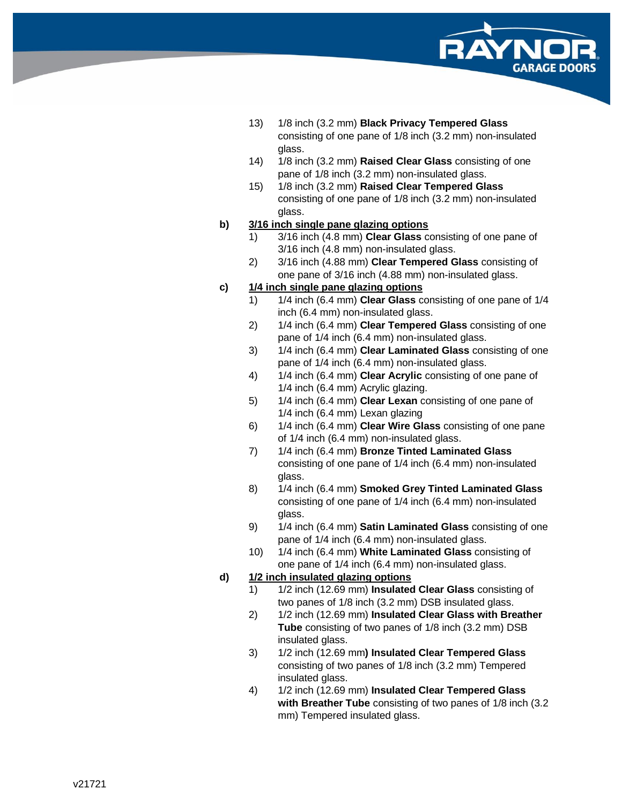![](_page_5_Picture_0.jpeg)

- 13) 1/8 inch (3.2 mm) **Black Privacy Tempered Glass** consisting of one pane of 1/8 inch (3.2 mm) non -insulated glass.
- 14) 1/8 inch (3.2 mm) **Raised Clear Glass** consisting of one pane of 1/8 inch (3.2 mm) non -insulated glass.
- 15) 1/8 inch (3.2 mm) **Raised Clear Tempered Glass** consisting of one pane of 1/8 inch (3.2 mm) non -insulated glass.

# **b) 3/16 inch single pane glazing options**

- 1) 3/16 inch (4.8 mm) **Clear Glass** consisting of one pane of 3/16 inch (4.8 mm) non -insulated glass.
- 2) 3/16 inch (4.88 mm) **Clear Tempered Glass** consisting of one pane of 3/16 inch (4.88 mm) non -insulated glass.

# **c) 1/4 inch single pane glazing options**

- 1) 1/4 inch (6.4 mm) **Clear Glass** consisting of one pane of 1/4 inch (6.4 mm) non -insulated glass.
- 2) 1/4 inch (6.4 mm) **Clear Tempered Glass** consisting of one pane of 1/4 inch (6.4 mm) non -insulated glass.
- 3) 1/4 inch (6.4 mm) **Clear Laminated Glass** consisting of one pane of 1/4 inch (6.4 mm) non -insulated glass.
- 4) 1/4 inch (6.4 mm) **Clear Acrylic** consisting of one pane of 1/4 inch (6.4 mm) Acrylic glazing.
- 5) 1/4 inch (6.4 mm) **Clear Lexan** consisting of one pane of 1/4 inch (6.4 mm) Lexan glazing
- 6) 1/4 inch (6.4 mm) **Clear Wire Glass** consisting of one pane of 1/4 inch (6.4 mm) non -insulated glass.
- 7) 1/4 inch (6.4 mm) **Bronze Tinted Laminated Glass** consisting of one pane of 1/4 inch (6.4 mm) non -insulated glass.
- 8) 1/4 inch (6.4 mm) **Smoked Grey Tinted Laminated Glass** consisting of one pane of 1/4 inch (6.4 mm) non -insulated glass.
- 9) 1/4 inch (6.4 mm) **Satin Laminated Glass** consisting of one pane of 1/4 inch (6.4 mm) non -insulated glass.
- 10) 1/4 inch (6.4 mm) **White Laminated Glass** consisting of one pane of 1/4 inch (6.4 mm) non -insulated glass.

# **d) 1/2 inch insulated glazing options**

- 1) 1/2 inch (12.69 mm) **Insulated Clear Glass** consisting of two panes of 1/8 inch (3.2 mm) DSB insulated glass.
- 2) 1/2 inch (12.69 mm) **Insulated Clear Glass with Breather Tube** consisting of two panes of 1/8 inch (3.2 mm) DSB insulated glass.
- 3) 1/2 inch (12.69 mm**) Insulated Clear Tempered Glass** consisting of two panes of 1/8 inch (3.2 mm) Tempered insulated glass.
- 4) 1/2 inch (12.69 mm) **Insulated Clear Tempered Glass with Breather Tube** consisting of two panes of 1/8 inch (3.2 mm) Tempered insulated glass.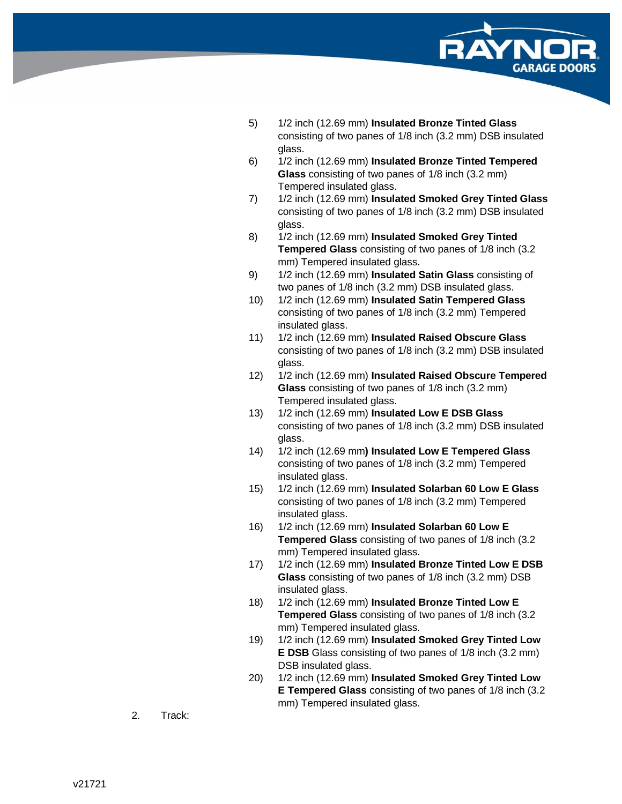![](_page_6_Picture_0.jpeg)

- 5) 1/2 inch (12.69 mm) **Insulated Bronze Tinted Glass** consisting of two panes of 1/8 inch (3.2 mm) DSB insulated glass.
- 6) 1/2 inch (12.69 mm) **Insulated Bronze Tinted Tempered Glass** consisting of two panes of 1/8 inch (3.2 mm) Tempered insulated glass.
- 7) 1/2 inch (12.69 mm) **Insulated Smoked Grey Tinted Glass** consisting of two panes of 1/8 inch (3.2 mm) DSB insulated glass.
- 8) 1/2 inch (12.69 mm) **Insulated Smoked Grey Tinted Tempered Glass** consisting of two panes of 1/8 inch (3.2 mm) Tempered insulated glass.
- 9) 1/2 inch (12.69 mm) **Insulated Satin Glass** consisting of two panes of 1/8 inch (3.2 mm) DSB insulated glass.
- 10) 1/2 inch (12.69 mm) **Insulated Satin Tempered Glass** consisting of two panes of 1/8 inch (3.2 mm) Tempered insulated glass.
- 11) 1/2 inch (12.69 mm) **Insulated Raised Obscure Glass** consisting of two panes of 1/8 inch (3.2 mm) DSB insulated glass.
- 12) 1/2 inch (12.69 mm) **Insulated Raised Obscure Tempered Glass** consisting of two panes of 1/8 inch (3.2 mm) Tempered insulated glass.
- 13) 1/2 inch (12.69 mm) **Insulated Low E DSB Glass** consisting of two panes of 1/8 inch (3.2 mm) DSB insulated glass.
- 14) 1/2 inch (12.69 mm**) Insulated Low E Tempered Glass** consisting of two panes of 1/8 inch (3.2 mm) Tempered insulated glass.
- 15) 1/2 inch (12.69 mm) **Insulated Solarban 60 Low E Glass** consisting of two panes of 1/8 inch (3.2 mm) Tempered insulated glass.
- 16) 1/2 inch (12.69 mm) **Insulated Solarban 60 Low E Tempered Glass** consisting of two panes of 1/8 inch (3.2 mm) Tempered insulated glass.
- 17) 1/2 inch (12.69 mm) **Insulated Bronze Tinted Low E DSB Glass** consisting of two panes of 1/8 inch (3.2 mm) DSB insulated glass.
- 18) 1/2 inch (12.69 mm) **Insulated Bronze Tinted Low E Tempered Glass** consisting of two panes of 1/8 inch (3.2 mm) Tempered insulated glass.
- 19) 1/2 inch (12.69 mm) **Insulated Smoked Grey Tinted Low E DSB** Glass consisting of two panes of 1/8 inch (3.2 mm) DSB insulated glass.
- 20) 1/2 inch (12.69 mm) **Insulated Smoked Grey Tinted Low E Tempered Glass** consisting of two panes of 1/8 inch (3.2 mm) Tempered insulated glass.
- 2. Track: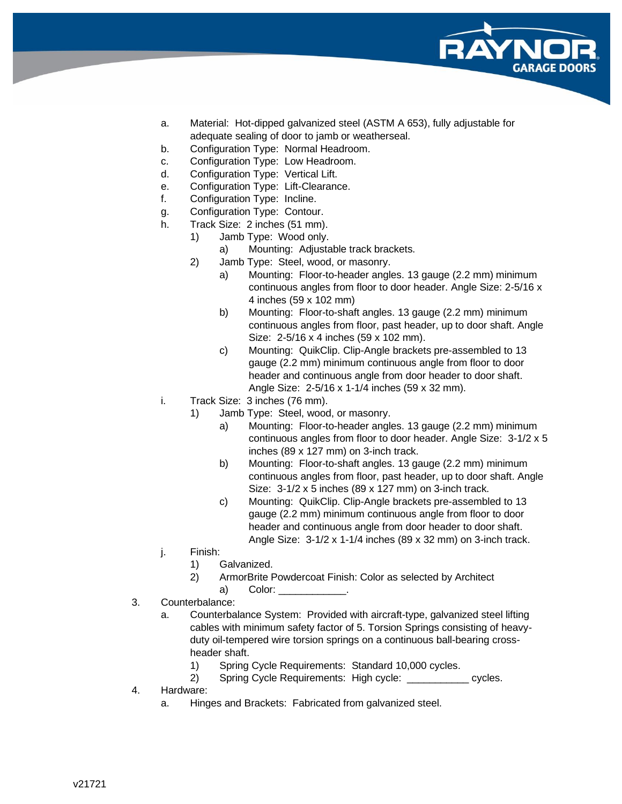![](_page_7_Picture_0.jpeg)

- a. Material: Hot-dipped galvanized steel (ASTM A 653), fully adjustable for adequate sealing of door to jamb or weatherseal.
- b. Configuration Type: Normal Headroom.
- c. Configuration Type: Low Headroom.
- d. Configuration Type: Vertical Lift.
- e. Configuration Type: Lift-Clearance.
- f. Configuration Type: Incline.
- g. Configuration Type: Contour.
- h. Track Size: 2 inches (51 mm).
	- 1) Jamb Type: Wood only.
		- a) Mounting: Adjustable track brackets.
	- 2) Jamb Type: Steel, wood, or masonry.
		- a) Mounting: Floor-to-header angles. 13 gauge (2.2 mm) minimum continuous angles from floor to door header. Angle Size: 2-5/16 x 4 inches (59 x 102 mm)
		- b) Mounting: Floor-to-shaft angles. 13 gauge (2.2 mm) minimum continuous angles from floor, past header, up to door shaft. Angle Size: 2-5/16 x 4 inches (59 x 102 mm).
		- c) Mounting: QuikClip. Clip-Angle brackets pre-assembled to 13 gauge (2.2 mm) minimum continuous angle from floor to door header and continuous angle from door header to door shaft. Angle Size: 2-5/16 x 1-1/4 inches (59 x 32 mm).
- i. Track Size: 3 inches (76 mm).
	- 1) Jamb Type: Steel, wood, or masonry.
		- a) Mounting: Floor-to-header angles. 13 gauge (2.2 mm) minimum continuous angles from floor to door header. Angle Size: 3-1/2 x 5 inches (89 x 127 mm) on 3-inch track.
		- b) Mounting: Floor-to-shaft angles. 13 gauge (2.2 mm) minimum continuous angles from floor, past header, up to door shaft. Angle Size: 3-1/2 x 5 inches (89 x 127 mm) on 3-inch track.
		- c) Mounting: QuikClip. Clip-Angle brackets pre-assembled to 13 gauge (2.2 mm) minimum continuous angle from floor to door header and continuous angle from door header to door shaft. Angle Size: 3-1/2 x 1-1/4 inches (89 x 32 mm) on 3-inch track.
- j. Finish:
	- 1) Galvanized.
	- 2) ArmorBrite Powdercoat Finish: Color as selected by Architect
		- a) Color:
- 3. Counterbalance:
	- a. Counterbalance System: Provided with aircraft-type, galvanized steel lifting cables with minimum safety factor of 5. Torsion Springs consisting of heavyduty oil-tempered wire torsion springs on a continuous ball-bearing crossheader shaft.
		- 1) Spring Cycle Requirements: Standard 10,000 cycles.
		- 2) Spring Cycle Requirements: High cycle: cycles.
- 4. Hardware:
	- a. Hinges and Brackets: Fabricated from galvanized steel.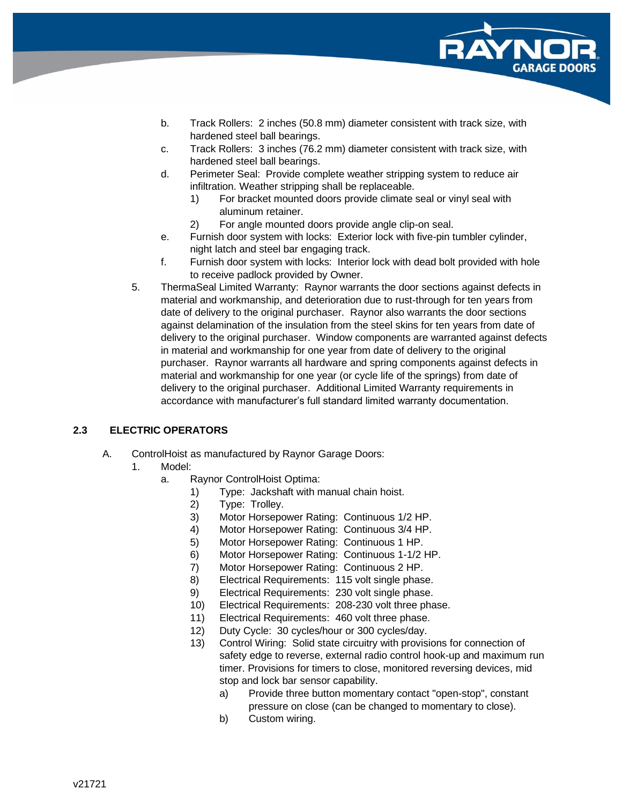![](_page_8_Picture_0.jpeg)

- b. Track Rollers: 2 inches (50.8 mm) diameter consistent with track size, with hardened steel ball bearings.
- c. Track Rollers: 3 inches (76.2 mm) diameter consistent with track size, with hardened steel ball bearings.
- d. Perimeter Seal: Provide complete weather stripping system to reduce air infiltration. Weather stripping shall be replaceable.
	- 1) For bracket mounted doors provide climate seal or vinyl seal with aluminum retainer.
	- 2) For angle mounted doors provide angle clip-on seal.
- e. Furnish door system with locks: Exterior lock with five-pin tumbler cylinder, night latch and steel bar engaging track.
- f. Furnish door system with locks: Interior lock with dead bolt provided with hole to receive padlock provided by Owner.
- 5. ThermaSeal Limited Warranty: Raynor warrants the door sections against defects in material and workmanship, and deterioration due to rust-through for ten years from date of delivery to the original purchaser. Raynor also warrants the door sections against delamination of the insulation from the steel skins for ten years from date of delivery to the original purchaser. Window components are warranted against defects in material and workmanship for one year from date of delivery to the original purchaser. Raynor warrants all hardware and spring components against defects in material and workmanship for one year (or cycle life of the springs) from date of delivery to the original purchaser. Additional Limited Warranty requirements in accordance with manufacturer's full standard limited warranty documentation.

# **2.3 ELECTRIC OPERATORS**

- A. ControlHoist as manufactured by Raynor Garage Doors:
	- 1. Model:
		- a. Raynor ControlHoist Optima:
			- 1) Type: Jackshaft with manual chain hoist.
			- 2) Type: Trolley.
			- 3) Motor Horsepower Rating: Continuous 1/2 HP.
			- 4) Motor Horsepower Rating: Continuous 3/4 HP.
			- 5) Motor Horsepower Rating: Continuous 1 HP.
			- 6) Motor Horsepower Rating: Continuous 1-1/2 HP.
			- 7) Motor Horsepower Rating: Continuous 2 HP.
			- 8) Electrical Requirements: 115 volt single phase.
			- 9) Electrical Requirements: 230 volt single phase.
			- 10) Electrical Requirements: 208-230 volt three phase.
			- 11) Electrical Requirements: 460 volt three phase.
			- 12) Duty Cycle: 30 cycles/hour or 300 cycles/day.
			- 13) Control Wiring: Solid state circuitry with provisions for connection of safety edge to reverse, external radio control hook-up and maximum run timer. Provisions for timers to close, monitored reversing devices, mid stop and lock bar sensor capability.
				- a) Provide three button momentary contact "open-stop", constant pressure on close (can be changed to momentary to close).
				- b) Custom wiring.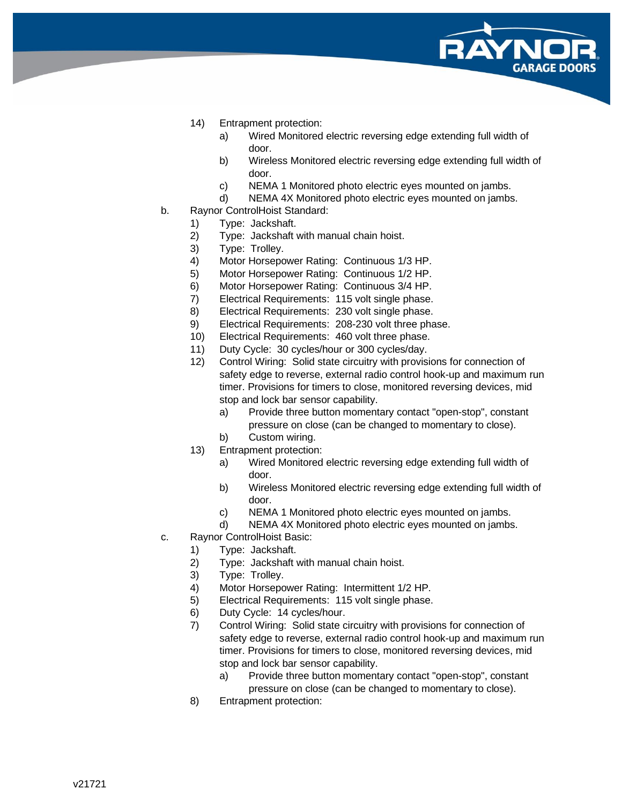![](_page_9_Picture_0.jpeg)

- 14) Entrapment protection:
	- a) Wired Monitored electric reversing edge extending full width of door.
	- b) Wireless Monitored electric reversing edge extending full width of door.
	- c) NEMA 1 Monitored photo electric eyes mounted on jambs.
	- d) NEMA 4X Monitored photo electric eyes mounted on jambs.
- b. Raynor ControlHoist Standard:
	- 1) Type: Jackshaft.
	- 2) Type: Jackshaft with manual chain hoist.
	- 3) Type: Trolley.
	- 4) Motor Horsepower Rating: Continuous 1/3 HP.
	- 5) Motor Horsepower Rating: Continuous 1/2 HP.
	- 6) Motor Horsepower Rating: Continuous 3/4 HP.
	- 7) Electrical Requirements: 115 volt single phase.
	- 8) Electrical Requirements: 230 volt single phase.
	- 9) Electrical Requirements: 208-230 volt three phase.
	- 10) Electrical Requirements: 460 volt three phase.
	- 11) Duty Cycle: 30 cycles/hour or 300 cycles/day.
	- 12) Control Wiring: Solid state circuitry with provisions for connection of safety edge to reverse, external radio control hook-up and maximum run timer. Provisions for timers to close, monitored reversing devices, mid stop and lock bar sensor capability.
		- a) Provide three button momentary contact "open-stop", constant pressure on close (can be changed to momentary to close).
		- b) Custom wiring.
	- 13) Entrapment protection:
		- a) Wired Monitored electric reversing edge extending full width of door.
		- b) Wireless Monitored electric reversing edge extending full width of door.
		- c) NEMA 1 Monitored photo electric eyes mounted on jambs.
		- d) NEMA 4X Monitored photo electric eyes mounted on jambs.
- c. Raynor ControlHoist Basic:
	- 1) Type: Jackshaft.
	- 2) Type: Jackshaft with manual chain hoist.
	- 3) Type: Trolley.
	- 4) Motor Horsepower Rating: Intermittent 1/2 HP.
	- 5) Electrical Requirements: 115 volt single phase.
	- 6) Duty Cycle: 14 cycles/hour.
	- 7) Control Wiring: Solid state circuitry with provisions for connection of safety edge to reverse, external radio control hook-up and maximum run timer. Provisions for timers to close, monitored reversing devices, mid stop and lock bar sensor capability.
		- a) Provide three button momentary contact "open-stop", constant pressure on close (can be changed to momentary to close).
	- 8) Entrapment protection: